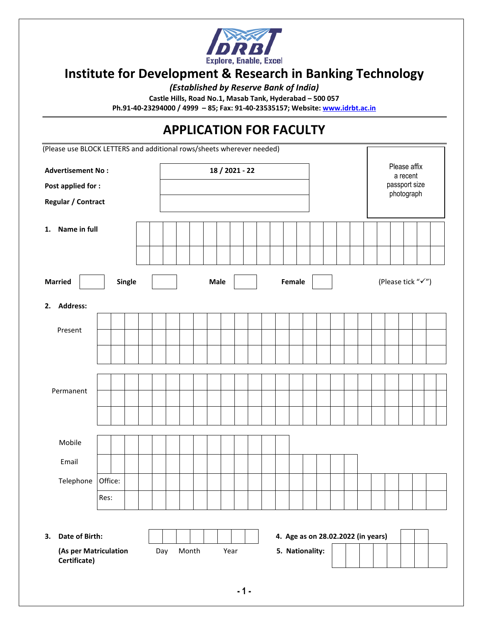

# **Institute for Development & Research in Banking Technology**

*(Established by Reserve Bank of India)*

**Castle Hills, Road No.1, Masab Tank, Hyderabad – 500 057**

**Ph.91-40-23294000 / 4999 – 85; Fax: 91-40-23535157; Website[: www.idrbt.ac.in](http://www.idrbt.ac.in/)**

# **APPLICATION FOR FACULTY** (Please use BLOCK LETTERS and additional rows/sheets wherever needed) **Advertisement No : 18 / 2021 - 22 Post applied for : Regular / Contract 1. Name in full Married Natural Accord Single Nale Male Female H Example 1 Married (Please tick "** $\checkmark$ **") 2. Address:** Present Permanent Mobile Email Telephone Office: Res: **3. Date of Birth: 4. Age as on 28.02.2022 (in years) (As per Matriculation Certificate)** Day Month Year **5. Nationality:** Please affix a recent passport size photograph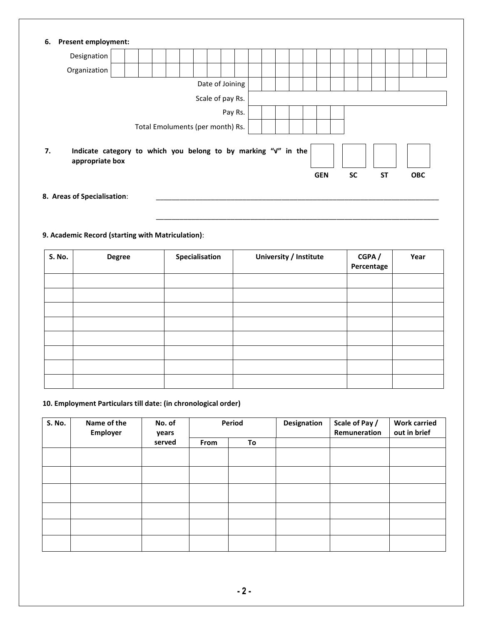| 6. | <b>Present employment:</b>                                                        |  |  |  |                                  |  |  |  |  |  |            |           |           |  |            |  |
|----|-----------------------------------------------------------------------------------|--|--|--|----------------------------------|--|--|--|--|--|------------|-----------|-----------|--|------------|--|
|    | Designation                                                                       |  |  |  |                                  |  |  |  |  |  |            |           |           |  |            |  |
|    | Organization                                                                      |  |  |  |                                  |  |  |  |  |  |            |           |           |  |            |  |
|    | Date of Joining                                                                   |  |  |  |                                  |  |  |  |  |  |            |           |           |  |            |  |
|    | Scale of pay Rs.                                                                  |  |  |  |                                  |  |  |  |  |  |            |           |           |  |            |  |
|    | Pay Rs.                                                                           |  |  |  |                                  |  |  |  |  |  |            |           |           |  |            |  |
|    |                                                                                   |  |  |  | Total Emoluments (per month) Rs. |  |  |  |  |  |            |           |           |  |            |  |
| 7. | Indicate category to which you belong to by marking "v" in the<br>appropriate box |  |  |  |                                  |  |  |  |  |  | <b>GEN</b> | <b>SC</b> | <b>ST</b> |  | <b>OBC</b> |  |
|    | 8. Areas of Specialisation:                                                       |  |  |  |                                  |  |  |  |  |  |            |           |           |  |            |  |

# **9. Academic Record (starting with Matriculation)**:

| S. No. | <b>Degree</b> | Specialisation | University / Institute | CGPA/<br>Percentage | Year |
|--------|---------------|----------------|------------------------|---------------------|------|
|        |               |                |                        |                     |      |
|        |               |                |                        |                     |      |
|        |               |                |                        |                     |      |
|        |               |                |                        |                     |      |
|        |               |                |                        |                     |      |
|        |               |                |                        |                     |      |
|        |               |                |                        |                     |      |
|        |               |                |                        |                     |      |

\_\_\_\_\_\_\_\_\_\_\_\_\_\_\_\_\_\_\_\_\_\_\_\_\_\_\_\_\_\_\_\_\_\_\_\_\_\_\_\_\_\_\_\_\_\_\_\_\_\_\_\_\_\_\_\_\_\_\_\_\_\_\_\_\_\_\_\_\_\_\_\_

#### **10. Employment Particulars till date: (in chronological order)**

| <b>S. No.</b> | Name of the<br>No. of<br><b>Employer</b><br>years |        | Period |    | Designation | Scale of Pay /<br>Remuneration | <b>Work carried</b><br>out in brief |
|---------------|---------------------------------------------------|--------|--------|----|-------------|--------------------------------|-------------------------------------|
|               |                                                   | served | From   | To |             |                                |                                     |
|               |                                                   |        |        |    |             |                                |                                     |
|               |                                                   |        |        |    |             |                                |                                     |
|               |                                                   |        |        |    |             |                                |                                     |
|               |                                                   |        |        |    |             |                                |                                     |
|               |                                                   |        |        |    |             |                                |                                     |
|               |                                                   |        |        |    |             |                                |                                     |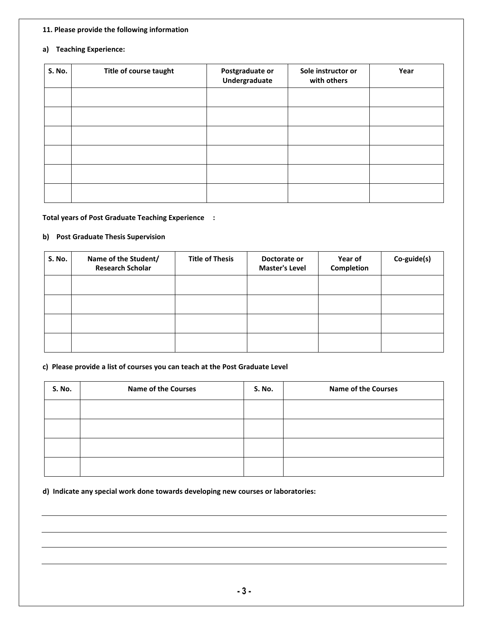#### **11. Please provide the following information**

#### **a) Teaching Experience:**

| <b>S. No.</b> | Title of course taught | Postgraduate or<br>Undergraduate | Sole instructor or<br>with others | Year |
|---------------|------------------------|----------------------------------|-----------------------------------|------|
|               |                        |                                  |                                   |      |
|               |                        |                                  |                                   |      |
|               |                        |                                  |                                   |      |
|               |                        |                                  |                                   |      |
|               |                        |                                  |                                   |      |
|               |                        |                                  |                                   |      |

#### **Total years of Post Graduate Teaching Experience :**

#### **b) Post Graduate Thesis Supervision**

| <b>S. No.</b> | Name of the Student/<br><b>Research Scholar</b> | <b>Title of Thesis</b> | Doctorate or<br><b>Master's Level</b> | Year of<br>Completion | Co-guide(s) |
|---------------|-------------------------------------------------|------------------------|---------------------------------------|-----------------------|-------------|
|               |                                                 |                        |                                       |                       |             |
|               |                                                 |                        |                                       |                       |             |
|               |                                                 |                        |                                       |                       |             |
|               |                                                 |                        |                                       |                       |             |

#### **c) Please provide a list of courses you can teach at the Post Graduate Level**

| <b>S. No.</b> | <b>Name of the Courses</b> | <b>S. No.</b> | <b>Name of the Courses</b> |
|---------------|----------------------------|---------------|----------------------------|
|               |                            |               |                            |
|               |                            |               |                            |
|               |                            |               |                            |
|               |                            |               |                            |

**d) Indicate any special work done towards developing new courses or laboratories:**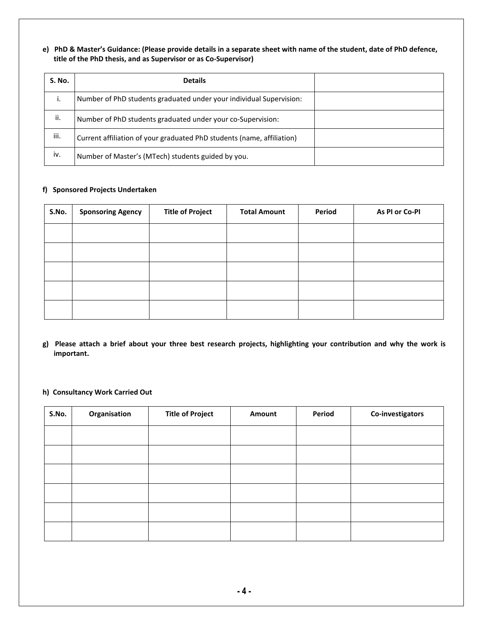**e) PhD & Master's Guidance: (Please provide details in a separate sheet with name of the student, date of PhD defence, title of the PhD thesis, and as Supervisor or as Co-Supervisor)**

| S. No. | <b>Details</b>                                                         |  |
|--------|------------------------------------------------------------------------|--|
| ۱.     | Number of PhD students graduated under your individual Supervision:    |  |
| ii.    | Number of PhD students graduated under your co-Supervision:            |  |
| iii.   | Current affiliation of your graduated PhD students (name, affiliation) |  |
| iv.    | Number of Master's (MTech) students guided by you.                     |  |

#### **f) Sponsored Projects Undertaken**

| S.No. | <b>Sponsoring Agency</b> | <b>Title of Project</b> | <b>Total Amount</b> | Period | As PI or Co-PI |
|-------|--------------------------|-------------------------|---------------------|--------|----------------|
|       |                          |                         |                     |        |                |
|       |                          |                         |                     |        |                |
|       |                          |                         |                     |        |                |
|       |                          |                         |                     |        |                |
|       |                          |                         |                     |        |                |

**g) Please attach a brief about your three best research projects, highlighting your contribution and why the work is important.**

#### **h) Consultancy Work Carried Out**

| S.No. | Organisation | <b>Title of Project</b> | Amount | Period | Co-investigators |
|-------|--------------|-------------------------|--------|--------|------------------|
|       |              |                         |        |        |                  |
|       |              |                         |        |        |                  |
|       |              |                         |        |        |                  |
|       |              |                         |        |        |                  |
|       |              |                         |        |        |                  |
|       |              |                         |        |        |                  |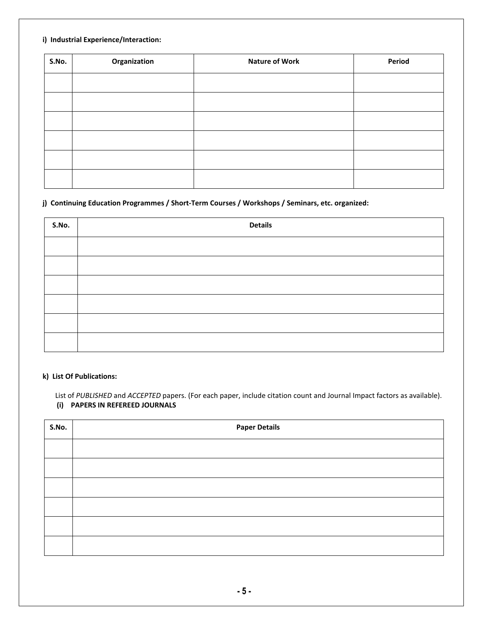#### **i) Industrial Experience/Interaction:**

| S.No. | Organization | <b>Nature of Work</b> | Period |
|-------|--------------|-----------------------|--------|
|       |              |                       |        |
|       |              |                       |        |
|       |              |                       |        |
|       |              |                       |        |
|       |              |                       |        |
|       |              |                       |        |

#### **j) Continuing Education Programmes / Short-Term Courses / Workshops / Seminars, etc. organized:**

| S.No. | <b>Details</b> |
|-------|----------------|
|       |                |
|       |                |
|       |                |
|       |                |
|       |                |
|       |                |

#### **k) List Of Publications:**

 List of *PUBLISHED* and *ACCEPTED* papers. (For each paper, include citation count and Journal Impact factors as available). **(i) PAPERS IN REFEREED JOURNALS**

| S.No. | <b>Paper Details</b> |
|-------|----------------------|
|       |                      |
|       |                      |
|       |                      |
|       |                      |
|       |                      |
|       |                      |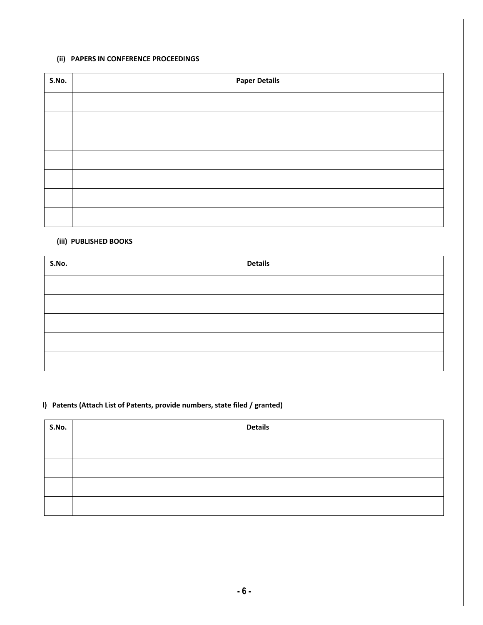#### **(ii) PAPERS IN CONFERENCE PROCEEDINGS**

| S.No. | <b>Paper Details</b> |  |  |
|-------|----------------------|--|--|
|       |                      |  |  |
|       |                      |  |  |
|       |                      |  |  |
|       |                      |  |  |
|       |                      |  |  |
|       |                      |  |  |
|       |                      |  |  |

# **(iii) PUBLISHED BOOKS**

| S.No. | <b>Details</b> |
|-------|----------------|
|       |                |
|       |                |
|       |                |
|       |                |
|       |                |

# **l) Patents (Attach List of Patents, provide numbers, state filed / granted)**

| S.No. | <b>Details</b> |
|-------|----------------|
|       |                |
|       |                |
|       |                |
|       |                |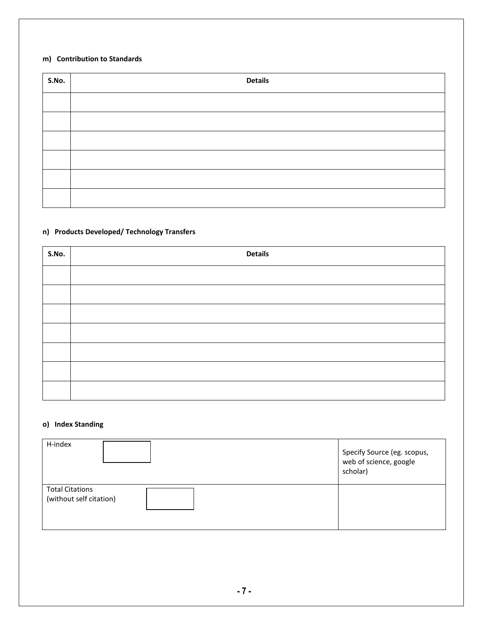#### **m) Contribution to Standards**

| S.No. | <b>Details</b> |
|-------|----------------|
|       |                |
|       |                |
|       |                |
|       |                |
|       |                |
|       |                |

# **n) Products Developed/ Technology Transfers**

| S.No. | <b>Details</b> |
|-------|----------------|
|       |                |
|       |                |
|       |                |
|       |                |
|       |                |
|       |                |
|       |                |

# **o) Index Standing**

| H-index                                           | Specify Source (eg. scopus,<br>web of science, google<br>scholar) |
|---------------------------------------------------|-------------------------------------------------------------------|
| <b>Total Citations</b><br>(without self citation) |                                                                   |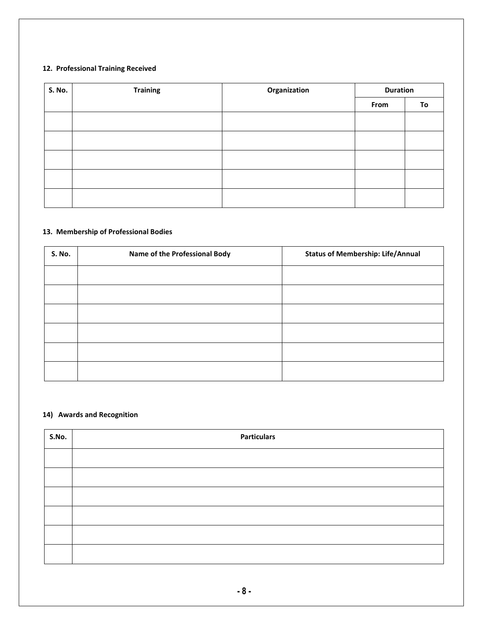# **12. Professional Training Received**

| <b>S. No.</b> | <b>Training</b> | Organization | <b>Duration</b> |    |
|---------------|-----------------|--------------|-----------------|----|
|               |                 |              | From            | To |
|               |                 |              |                 |    |
|               |                 |              |                 |    |
|               |                 |              |                 |    |
|               |                 |              |                 |    |
|               |                 |              |                 |    |

#### **13. Membership of Professional Bodies**

| <b>S. No.</b> | Name of the Professional Body | <b>Status of Membership: Life/Annual</b> |
|---------------|-------------------------------|------------------------------------------|
|               |                               |                                          |
|               |                               |                                          |
|               |                               |                                          |
|               |                               |                                          |
|               |                               |                                          |
|               |                               |                                          |

# **14) Awards and Recognition**

| S.No. | <b>Particulars</b> |  |  |
|-------|--------------------|--|--|
|       |                    |  |  |
|       |                    |  |  |
|       |                    |  |  |
|       |                    |  |  |
|       |                    |  |  |
|       |                    |  |  |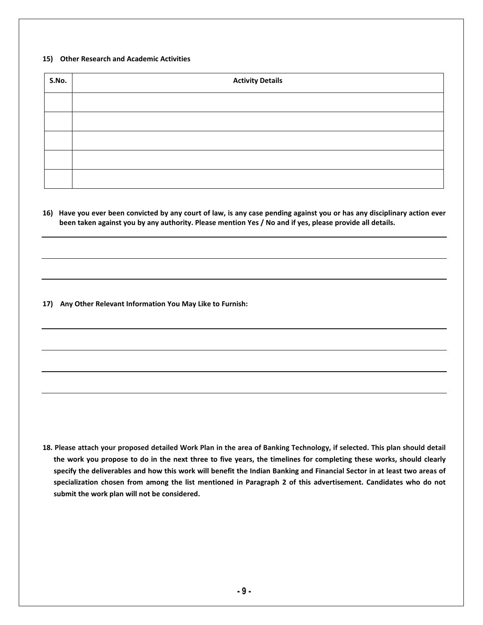#### **15) Other Research and Academic Activities**

| S.No. | <b>Activity Details</b> |  |  |
|-------|-------------------------|--|--|
|       |                         |  |  |
|       |                         |  |  |
|       |                         |  |  |
|       |                         |  |  |
|       |                         |  |  |

**16) Have you ever been convicted by any court of law, is any case pending against you or has any disciplinary action ever been taken against you by any authority. Please mention Yes / No and if yes, please provide all details.**

**17) Any Other Relevant Information You May Like to Furnish:**

**18. Please attach your proposed detailed Work Plan in the area of Banking Technology, if selected. This plan should detail the work you propose to do in the next three to five years, the timelines for completing these works, should clearly specify the deliverables and how this work will benefit the Indian Banking and Financial Sector in at least two areas of specialization chosen from among the list mentioned in Paragraph 2 of this advertisement. Candidates who do not submit the work plan will not be considered.**